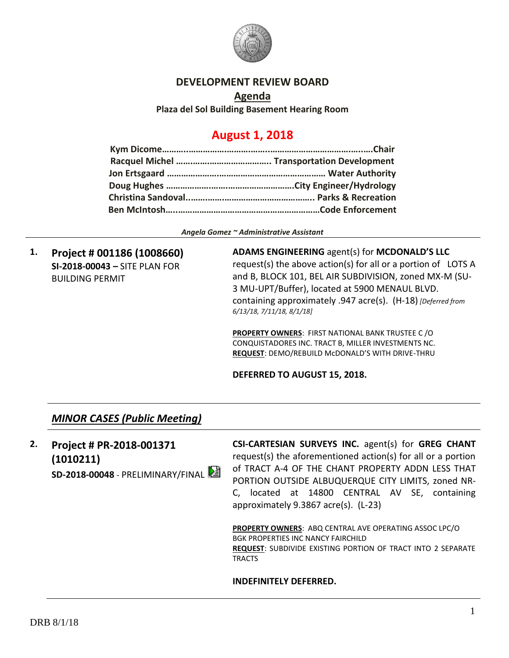

### **DEVELOPMENT REVIEW BOARD**

**Agenda Plaza del Sol Building Basement Hearing Room**

# **August 1, 2018**

*Angela Gomez ~ Administrative Assistant*

**1. Project # 001186 (1008660) SI-2018-00043 –** SITE PLAN FOR BUILDING PERMIT

**ADAMS ENGINEERING** agent(s) for **MCDONALD'S LLC** request(s) the above action(s) for all or a portion of LOTS A and B, BLOCK 101, BEL AIR SUBDIVISION, zoned MX-M (SU-3 MU-UPT/Buffer), located at 5900 MENAUL BLVD. containing approximately .947 acre(s). (H-18) *[Deferred from 6/13/18, 7/11/18, 8/1/18]*

**PROPERTY OWNERS**: FIRST NATIONAL BANK TRUSTEE C /O CONQUISTADORES INC. TRACT B, MILLER INVESTMENTS NC. **REQUEST**: DEMO/REBUILD McDONALD'S WITH DRIVE-THRU

### **DEFERRED TO AUGUST 15, 2018.**

### *MINOR CASES (Public Meeting)*

**2. Project # PR-2018-001371 (1010211) SD-2018-00048** - PRELIMINARY/FINAL **CSI-CARTESIAN SURVEYS INC.** agent(s) for **GREG CHANT** request(s) the aforementioned action(s) for all or a portion of TRACT A-4 OF THE CHANT PROPERTY ADDN LESS THAT PORTION OUTSIDE ALBUQUERQUE CITY LIMITS, zoned NR-C, located at 14800 CENTRAL AV SE, containing approximately 9.3867 acre(s). (L-23)

**PROPERTY OWNERS**: ABQ CENTRAL AVE OPERATING ASSOC LPC/O BGK PROPERTIES INC NANCY FAIRCHILD **REQUEST**: SUBDIVIDE EXISTING PORTION OF TRACT INTO 2 SEPARATE TRACTS

#### **INDEFINITELY DEFERRED.**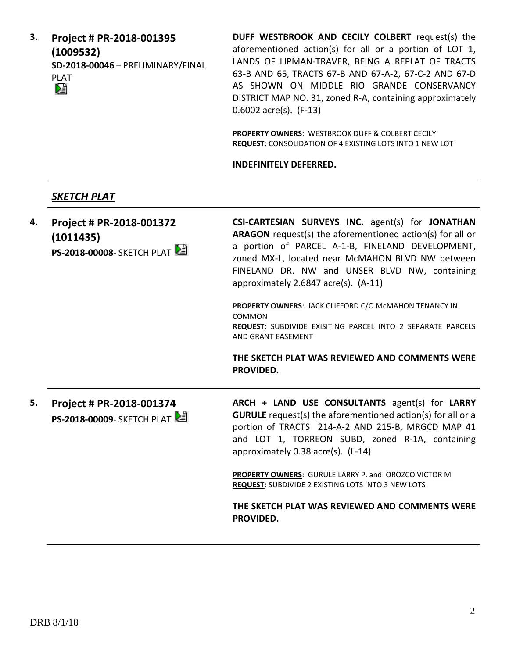**3. Project # PR-2018-001395 (1009532) SD-2018-00046** – PRELIMINARY/FINAL PLAT

**DUFF WESTBROOK AND CECILY COLBERT** request(s) the aforementioned action(s) for all or a portion of LOT 1, LANDS OF LIPMAN-TRAVER, BEING A REPLAT OF TRACTS 63-B AND 65, TRACTS 67-B AND 67-A-2, 67-C-2 AND 67-D AS SHOWN ON MIDDLE RIO GRANDE CONSERVANCY DISTRICT MAP NO. 31, zoned R-A, containing approximately 0.6002 acre(s). (F-13)

**PROPERTY OWNERS**: WESTBROOK DUFF & COLBERT CECILY **REQUEST**: CONSOLIDATION OF 4 EXISTING LOTS INTO 1 NEW LOT

**INDEFINITELY DEFERRED.**

### *SKETCH PLAT*

**4. Project # PR-2018-001372 (1011435) PS-2018-00008**- SKETCH PLAT **CSI-CARTESIAN SURVEYS INC.** agent(s) for **JONATHAN ARAGON** request(s) the aforementioned action(s) for all or a portion of PARCEL A-1-B, FINELAND DEVELOPMENT, zoned MX-L, located near McMAHON BLVD NW between FINELAND DR. NW and UNSER BLVD NW, containing approximately 2.6847 acre(s). (A-11) **PROPERTY OWNERS**: JACK CLIFFORD C/O McMAHON TENANCY IN COMMON **REQUEST**: SUBDIVIDE EXISITING PARCEL INTO 2 SEPARATE PARCELS AND GRANT EASEMENT **THE SKETCH PLAT WAS REVIEWED AND COMMENTS WERE PROVIDED. 5. Project # PR-2018-001374 PS-2018-00009**- SKETCH PLAT **ARCH + LAND USE CONSULTANTS** agent(s) for **LARRY GURULE** request(s) the aforementioned action(s) for all or a portion of TRACTS 214-A-2 AND 215-B, MRGCD MAP 41 and LOT 1, TORREON SUBD, zoned R-1A, containing approximately 0.38 acre(s). (L-14) **PROPERTY OWNERS**: GURULE LARRY P. and OROZCO VICTOR M **REQUEST**: SUBDIVIDE 2 EXISTING LOTS INTO 3 NEW LOTS **THE SKETCH PLAT WAS REVIEWED AND COMMENTS WERE PROVIDED.**